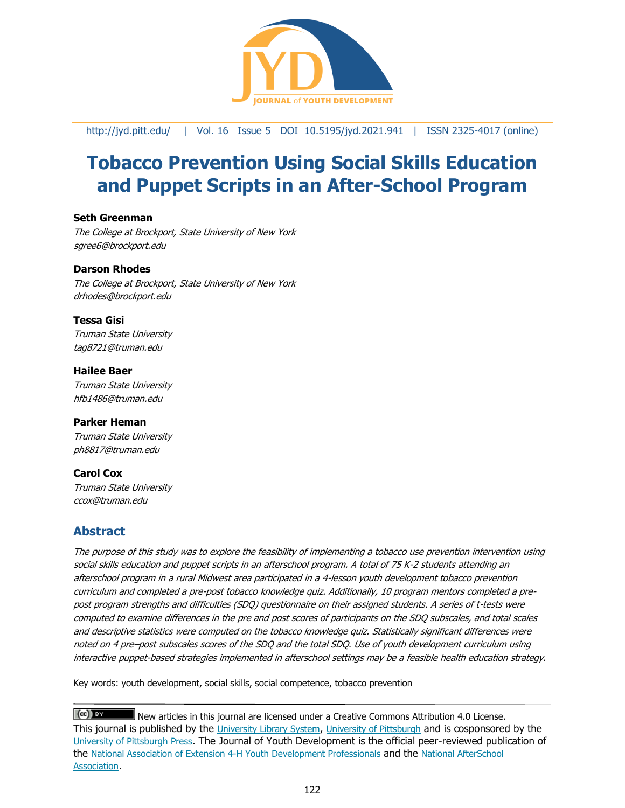

<http://jyd.pitt.edu/> | Vol. 16 Issue 5 DOI 10.5195/jyd.2021.941 | ISSN 2325-4017 (online)

# **Tobacco Prevention Using Social Skills Education and Puppet Scripts in an After-School Program**

#### **Seth Greenman**

The College at Brockport, State University of New York sgree6@brockport.edu

#### **Darson Rhodes**

The College at Brockport, State University of New York drhodes@brockport.edu

#### **Tessa Gisi**

Truman State University tag8721@truman.edu

**Hailee Baer** Truman State University hfb1486@truman.edu

#### **Parker Heman**

Truman State University ph8817@truman.edu

#### **Carol Cox**

Truman State University ccox@truman.edu

# **Abstract**

The purpose of this study was to explore the feasibility of implementing a tobacco use prevention intervention using social skills education and puppet scripts in an afterschool program. A total of 75 K-2 students attending an afterschool program in a rural Midwest area participated in a 4-lesson youth development tobacco prevention curriculum and completed a pre-post tobacco knowledge quiz. Additionally, 10 program mentors completed a prepost program strengths and difficulties (SDQ) questionnaire on their assigned students. A series of t-tests were computed to examine differences in the pre and post scores of participants on the SDQ subscales, and total scales and descriptive statistics were computed on the tobacco knowledge quiz. Statistically significant differences were noted on 4 pre–post subscales scores of the SDQ and the total SDQ. Use of youth development curriculum using interactive puppet-based strategies implemented in afterschool settings may be a feasible health education strategy.

Key words: youth development, social skills, social competence, tobacco prevention

 $(cc)$  BY New articles in this journal are licensed under a Creative Commons Attribution 4.0 License. This journal is published by the [University Library System](http://www.library.pitt.edu/), [University of Pittsburgh](http://www.pitt.edu/) and is cosponsored by the [University of Pittsburgh Press](http://www.upress.pitt.edu/upressIndex.aspx). The Journal of Youth Development is the official peer-reviewed publication of the [National Association of Extension 4-H Youth Development Professionals](http://www.nae4ha.com/) and the [National AfterSchool](http://naaweb.org/)  [Association](http://naaweb.org/).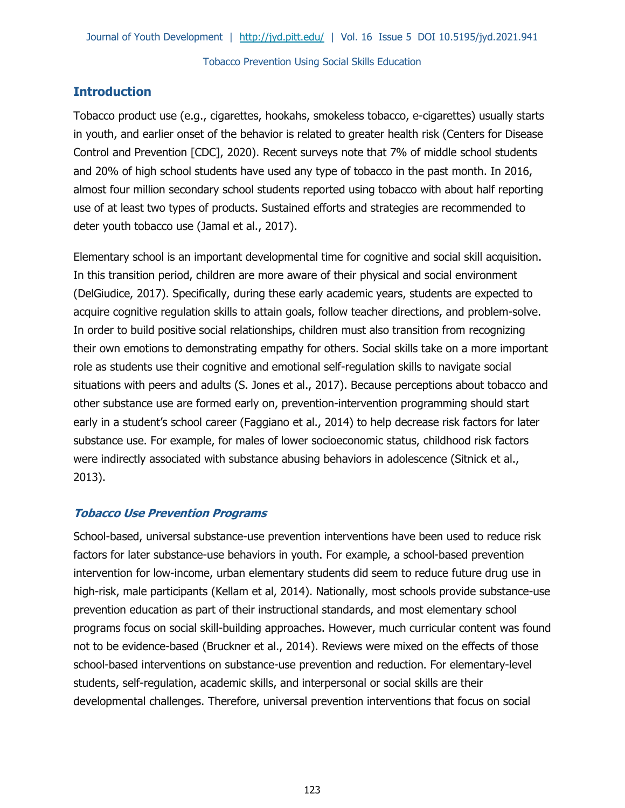# **Introduction**

Tobacco product use (e.g., cigarettes, hookahs, smokeless tobacco, e-cigarettes) usually starts in youth, and earlier onset of the behavior is related to greater health risk (Centers for Disease Control and Prevention [CDC], 2020). Recent surveys note that 7% of middle school students and 20% of high school students have used any type of tobacco in the past month. In 2016, almost four million secondary school students reported using tobacco with about half reporting use of at least two types of products. Sustained efforts and strategies are recommended to deter youth tobacco use (Jamal et al., 2017).

Elementary school is an important developmental time for cognitive and social skill acquisition. In this transition period, children are more aware of their physical and social environment (DelGiudice, 2017). Specifically, during these early academic years, students are expected to acquire cognitive regulation skills to attain goals, follow teacher directions, and problem-solve. In order to build positive social relationships, children must also transition from recognizing their own emotions to demonstrating empathy for others. Social skills take on a more important role as students use their cognitive and emotional self-regulation skills to navigate social situations with peers and adults (S. Jones et al., 2017). Because perceptions about tobacco and other substance use are formed early on, prevention-intervention programming should start early in a student's school career (Faggiano et al., 2014) to help decrease risk factors for later substance use. For example, for males of lower socioeconomic status, childhood risk factors were indirectly associated with substance abusing behaviors in adolescence (Sitnick et al., 2013).

## **Tobacco Use Prevention Programs**

School-based, universal substance-use prevention interventions have been used to reduce risk factors for later substance-use behaviors in youth. For example, a school-based prevention intervention for low-income, urban elementary students did seem to reduce future drug use in high-risk, male participants (Kellam et al, 2014). Nationally, most schools provide substance-use prevention education as part of their instructional standards, and most elementary school programs focus on social skill-building approaches. However, much curricular content was found not to be evidence-based (Bruckner et al., 2014). Reviews were mixed on the effects of those school-based interventions on substance-use prevention and reduction. For elementary-level students, self-regulation, academic skills, and interpersonal or social skills are their developmental challenges. Therefore, universal prevention interventions that focus on social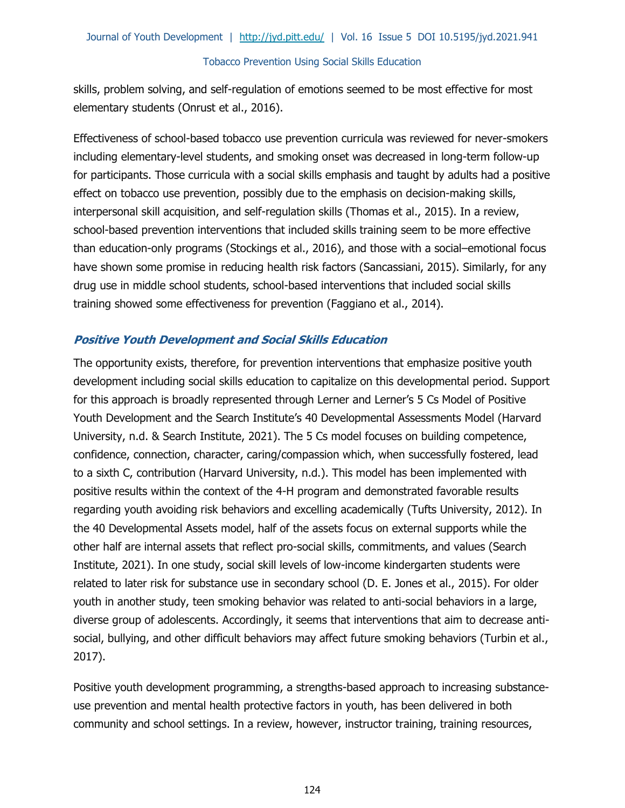skills, problem solving, and self-regulation of emotions seemed to be most effective for most elementary students (Onrust et al., 2016).

Effectiveness of school-based tobacco use prevention curricula was reviewed for never-smokers including elementary-level students, and smoking onset was decreased in long-term follow-up for participants. Those curricula with a social skills emphasis and taught by adults had a positive effect on tobacco use prevention, possibly due to the emphasis on decision-making skills, interpersonal skill acquisition, and self-regulation skills (Thomas et al., 2015). In a review, school-based prevention interventions that included skills training seem to be more effective than education-only programs (Stockings et al., 2016), and those with a social–emotional focus have shown some promise in reducing health risk factors (Sancassiani, 2015). Similarly, for any drug use in middle school students, school-based interventions that included social skills training showed some effectiveness for prevention (Faggiano et al., 2014).

# **Positive Youth Development and Social Skills Education**

The opportunity exists, therefore, for prevention interventions that emphasize positive youth development including social skills education to capitalize on this developmental period. Support for this approach is broadly represented through Lerner and Lerner's 5 Cs Model of Positive Youth Development and the Search Institute's 40 Developmental Assessments Model (Harvard University, n.d. & Search Institute, 2021). The 5 Cs model focuses on building competence, confidence, connection, character, caring/compassion which, when successfully fostered, lead to a sixth C, contribution (Harvard University, n.d.). This model has been implemented with positive results within the context of the 4-H program and demonstrated favorable results regarding youth avoiding risk behaviors and excelling academically (Tufts University, 2012). In the 40 Developmental Assets model, half of the assets focus on external supports while the other half are internal assets that reflect pro-social skills, commitments, and values (Search Institute, 2021). In one study, social skill levels of low-income kindergarten students were related to later risk for substance use in secondary school (D. E. Jones et al., 2015). For older youth in another study, teen smoking behavior was related to anti-social behaviors in a large, diverse group of adolescents. Accordingly, it seems that interventions that aim to decrease antisocial, bullying, and other difficult behaviors may affect future smoking behaviors (Turbin et al., 2017).

Positive youth development programming, a strengths-based approach to increasing substanceuse prevention and mental health protective factors in youth, has been delivered in both community and school settings. In a review, however, instructor training, training resources,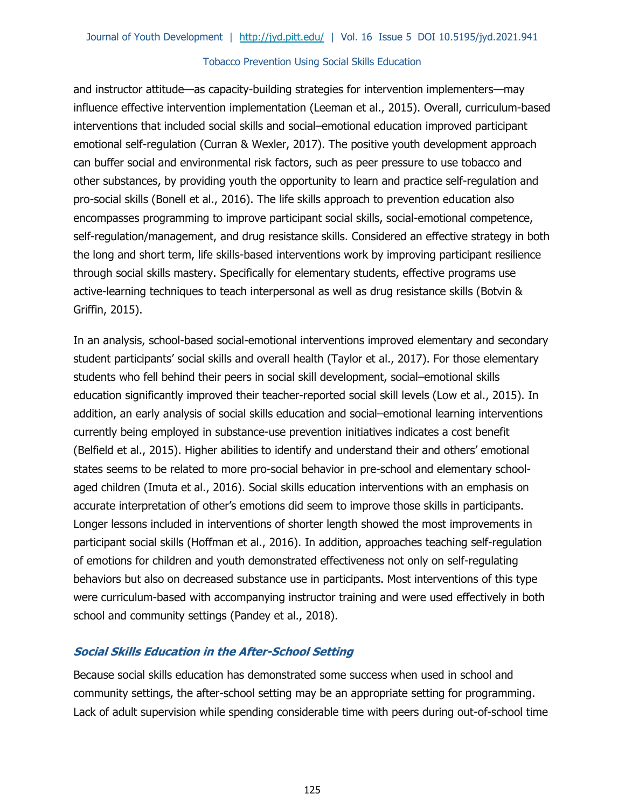and instructor attitude—as capacity-building strategies for intervention implementers—may influence effective intervention implementation (Leeman et al., 2015). Overall, curriculum-based interventions that included social skills and social–emotional education improved participant emotional self-regulation (Curran & Wexler, 2017). The positive youth development approach can buffer social and environmental risk factors, such as peer pressure to use tobacco and other substances, by providing youth the opportunity to learn and practice self-regulation and pro-social skills (Bonell et al., 2016). The life skills approach to prevention education also encompasses programming to improve participant social skills, social-emotional competence, self-regulation/management, and drug resistance skills. Considered an effective strategy in both the long and short term, life skills-based interventions work by improving participant resilience through social skills mastery. Specifically for elementary students, effective programs use active-learning techniques to teach interpersonal as well as drug resistance skills (Botvin & Griffin, 2015).

In an analysis, school-based social-emotional interventions improved elementary and secondary student participants' social skills and overall health (Taylor et al., 2017). For those elementary students who fell behind their peers in social skill development, social–emotional skills education significantly improved their teacher-reported social skill levels (Low et al., 2015). In addition, an early analysis of social skills education and social–emotional learning interventions currently being employed in substance-use prevention initiatives indicates a cost benefit (Belfield et al., 2015). Higher abilities to identify and understand their and others' emotional states seems to be related to more pro-social behavior in pre-school and elementary schoolaged children (Imuta et al., 2016). Social skills education interventions with an emphasis on accurate interpretation of other's emotions did seem to improve those skills in participants. Longer lessons included in interventions of shorter length showed the most improvements in participant social skills (Hoffman et al., 2016). In addition, approaches teaching self-regulation of emotions for children and youth demonstrated effectiveness not only on self-regulating behaviors but also on decreased substance use in participants. Most interventions of this type were curriculum-based with accompanying instructor training and were used effectively in both school and community settings (Pandey et al., 2018).

# **Social Skills Education in the After-School Setting**

Because social skills education has demonstrated some success when used in school and community settings, the after-school setting may be an appropriate setting for programming. Lack of adult supervision while spending considerable time with peers during out-of-school time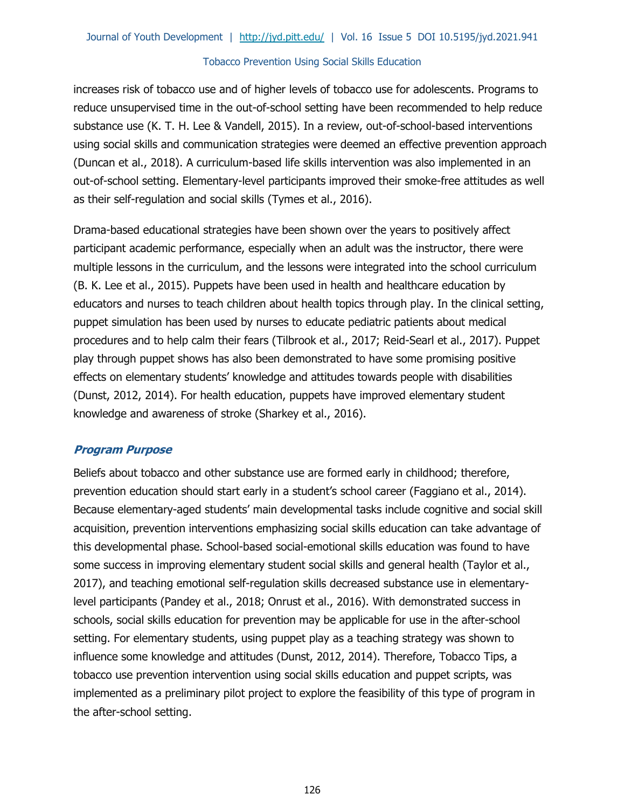increases risk of tobacco use and of higher levels of tobacco use for adolescents. Programs to reduce unsupervised time in the out-of-school setting have been recommended to help reduce substance use (K. T. H. Lee & Vandell, 2015). In a review, out-of-school-based interventions using social skills and communication strategies were deemed an effective prevention approach (Duncan et al., 2018). A curriculum-based life skills intervention was also implemented in an out-of-school setting. Elementary-level participants improved their smoke-free attitudes as well as their self-regulation and social skills (Tymes et al., 2016).

Drama-based educational strategies have been shown over the years to positively affect participant academic performance, especially when an adult was the instructor, there were multiple lessons in the curriculum, and the lessons were integrated into the school curriculum (B. K. Lee et al., 2015). Puppets have been used in health and healthcare education by educators and nurses to teach children about health topics through play. In the clinical setting, puppet simulation has been used by nurses to educate pediatric patients about medical procedures and to help calm their fears (Tilbrook et al., 2017; Reid-Searl et al., 2017). Puppet play through puppet shows has also been demonstrated to have some promising positive effects on elementary students' knowledge and attitudes towards people with disabilities (Dunst, 2012, 2014). For health education, puppets have improved elementary student knowledge and awareness of stroke (Sharkey et al., 2016).

# **Program Purpose**

Beliefs about tobacco and other substance use are formed early in childhood; therefore, prevention education should start early in a student's school career (Faggiano et al., 2014). Because elementary-aged students' main developmental tasks include cognitive and social skill acquisition, prevention interventions emphasizing social skills education can take advantage of this developmental phase. School-based social-emotional skills education was found to have some success in improving elementary student social skills and general health (Taylor et al., 2017), and teaching emotional self-regulation skills decreased substance use in elementarylevel participants (Pandey et al., 2018; Onrust et al., 2016). With demonstrated success in schools, social skills education for prevention may be applicable for use in the after-school setting. For elementary students, using puppet play as a teaching strategy was shown to influence some knowledge and attitudes (Dunst, 2012, 2014). Therefore, Tobacco Tips, a tobacco use prevention intervention using social skills education and puppet scripts, was implemented as a preliminary pilot project to explore the feasibility of this type of program in the after-school setting.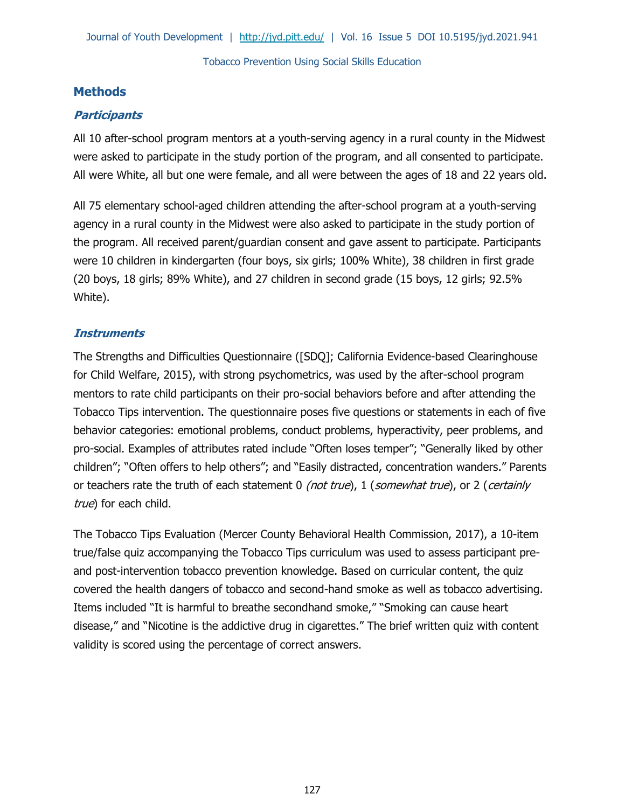# **Methods**

# **Participants**

All 10 after-school program mentors at a youth-serving agency in a rural county in the Midwest were asked to participate in the study portion of the program, and all consented to participate. All were White, all but one were female, and all were between the ages of 18 and 22 years old.

All 75 elementary school-aged children attending the after-school program at a youth-serving agency in a rural county in the Midwest were also asked to participate in the study portion of the program. All received parent/guardian consent and gave assent to participate. Participants were 10 children in kindergarten (four boys, six girls; 100% White), 38 children in first grade (20 boys, 18 girls; 89% White), and 27 children in second grade (15 boys, 12 girls; 92.5% White).

# **Instruments**

The Strengths and Difficulties Questionnaire ([SDQ]; California Evidence-based Clearinghouse for Child Welfare, 2015), with strong psychometrics, was used by the after-school program mentors to rate child participants on their pro-social behaviors before and after attending the Tobacco Tips intervention. The questionnaire poses five questions or statements in each of five behavior categories: emotional problems, conduct problems, hyperactivity, peer problems, and pro-social. Examples of attributes rated include "Often loses temper"; "Generally liked by other children"; "Often offers to help others"; and "Easily distracted, concentration wanders." Parents or teachers rate the truth of each statement 0 *(not true)*, 1 (somewhat true), or 2 (certainly true) for each child.

The Tobacco Tips Evaluation (Mercer County Behavioral Health Commission, 2017), a 10-item true/false quiz accompanying the Tobacco Tips curriculum was used to assess participant preand post-intervention tobacco prevention knowledge. Based on curricular content, the quiz covered the health dangers of tobacco and second-hand smoke as well as tobacco advertising. Items included "It is harmful to breathe secondhand smoke," "Smoking can cause heart disease," and "Nicotine is the addictive drug in cigarettes." The brief written quiz with content validity is scored using the percentage of correct answers.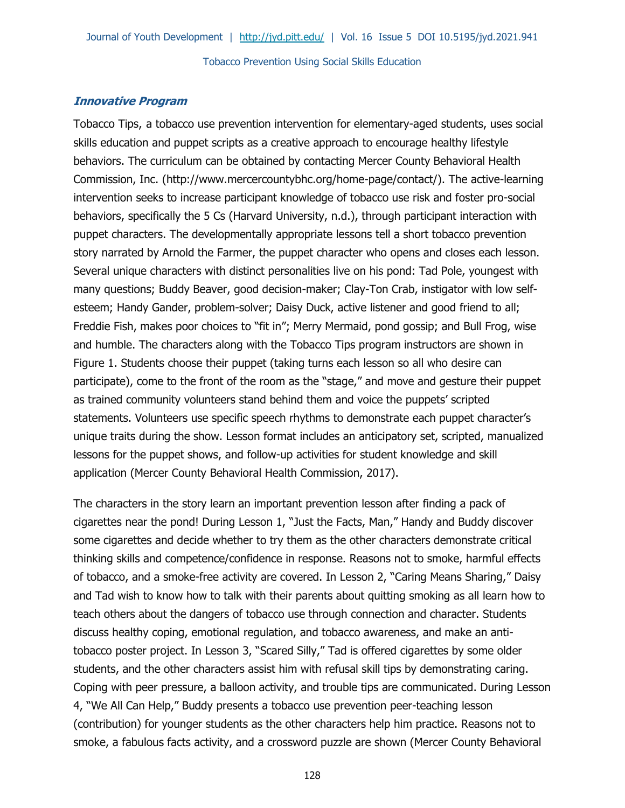# **Innovative Program**

Tobacco Tips, a tobacco use prevention intervention for elementary-aged students, uses social skills education and puppet scripts as a creative approach to encourage healthy lifestyle behaviors. The curriculum can be obtained by contacting Mercer County Behavioral Health Commission, Inc. (http://www.mercercountybhc.org/home-page/contact/). The active-learning intervention seeks to increase participant knowledge of tobacco use risk and foster pro-social behaviors, specifically the 5 Cs (Harvard University, n.d.), through participant interaction with puppet characters. The developmentally appropriate lessons tell a short tobacco prevention story narrated by Arnold the Farmer, the puppet character who opens and closes each lesson. Several unique characters with distinct personalities live on his pond: Tad Pole, youngest with many questions; Buddy Beaver, good decision-maker; Clay-Ton Crab, instigator with low selfesteem; Handy Gander, problem-solver; Daisy Duck, active listener and good friend to all; Freddie Fish, makes poor choices to "fit in"; Merry Mermaid, pond gossip; and Bull Frog, wise and humble. The characters along with the Tobacco Tips program instructors are shown in Figure 1. Students choose their puppet (taking turns each lesson so all who desire can participate), come to the front of the room as the "stage," and move and gesture their puppet as trained community volunteers stand behind them and voice the puppets' scripted statements. Volunteers use specific speech rhythms to demonstrate each puppet character's unique traits during the show. Lesson format includes an anticipatory set, scripted, manualized lessons for the puppet shows, and follow-up activities for student knowledge and skill application (Mercer County Behavioral Health Commission, 2017).

The characters in the story learn an important prevention lesson after finding a pack of cigarettes near the pond! During Lesson 1, "Just the Facts, Man," Handy and Buddy discover some cigarettes and decide whether to try them as the other characters demonstrate critical thinking skills and competence/confidence in response. Reasons not to smoke, harmful effects of tobacco, and a smoke-free activity are covered. In Lesson 2, "Caring Means Sharing," Daisy and Tad wish to know how to talk with their parents about quitting smoking as all learn how to teach others about the dangers of tobacco use through connection and character. Students discuss healthy coping, emotional regulation, and tobacco awareness, and make an antitobacco poster project. In Lesson 3, "Scared Silly," Tad is offered cigarettes by some older students, and the other characters assist him with refusal skill tips by demonstrating caring. Coping with peer pressure, a balloon activity, and trouble tips are communicated. During Lesson 4, "We All Can Help," Buddy presents a tobacco use prevention peer-teaching lesson (contribution) for younger students as the other characters help him practice. Reasons not to smoke, a fabulous facts activity, and a crossword puzzle are shown (Mercer County Behavioral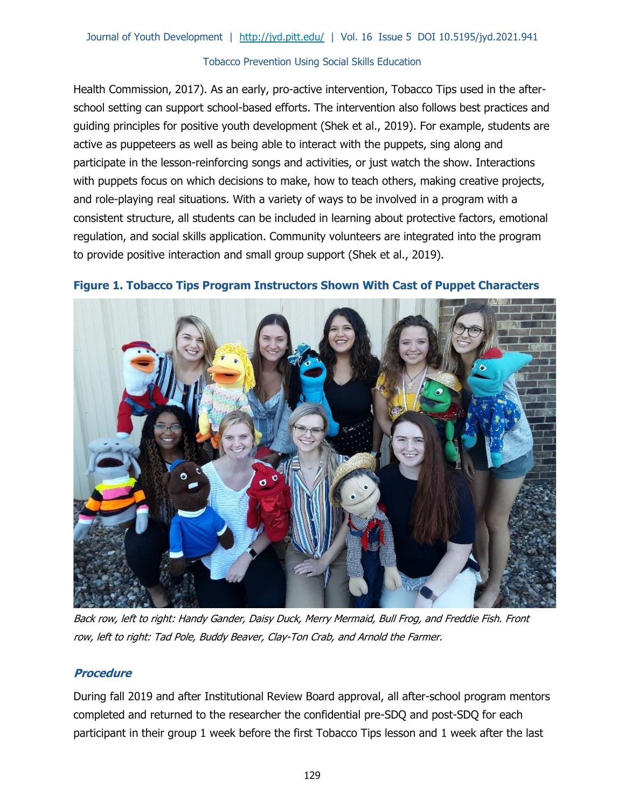Health Commission, 2017). As an early, pro-active intervention, Tobacco Tips used in the afterschool setting can support school-based efforts. The intervention also follows best practices and guiding principles for positive youth development (Shek et al., 2019). For example, students are active as puppeteers as well as being able to interact with the puppets, sing along and participate in the lesson-reinforcing songs and activities, or just watch the show. Interactions with puppets focus on which decisions to make, how to teach others, making creative projects, and role-playing real situations. With a variety of ways to be involved in a program with a consistent structure, all students can be included in learning about protective factors, emotional regulation, and social skills application. Community volunteers are integrated into the program to provide positive interaction and small group support (Shek et al., 2019).



## **Figure 1. Tobacco Tips Program Instructors Shown With Cast of Puppet Characters**

Back row, left to right: Handy Gander, Daisy Duck, Merry Mermaid, Bull Frog, and Freddie Fish. Front row, left to right: Tad Pole, Buddy Beaver, Clay-Ton Crab, and Arnold the Farmer.

# **Procedure**

During fall 2019 and after Institutional Review Board approval, all after-school program mentors completed and returned to the researcher the confidential pre-SDQ and post-SDQ for each participant in their group 1 week before the first Tobacco Tips lesson and 1 week after the last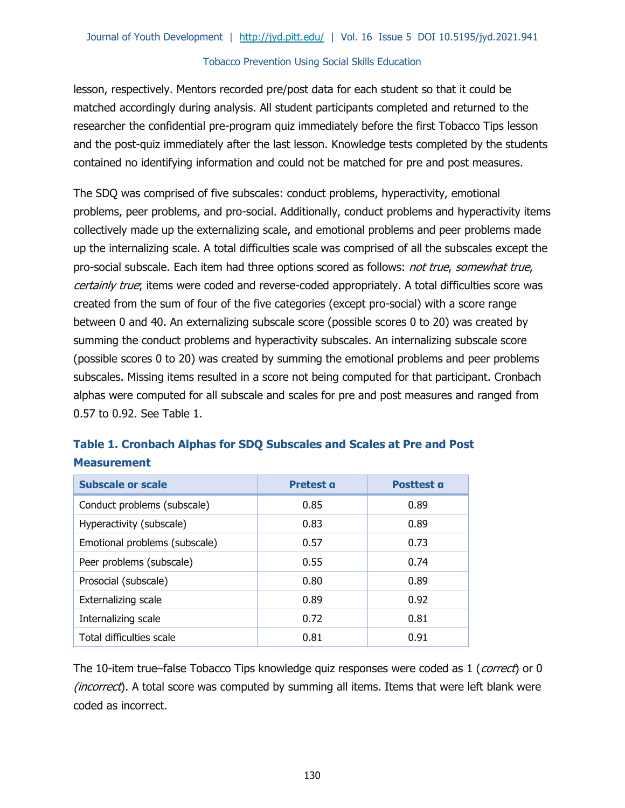lesson, respectively. Mentors recorded pre/post data for each student so that it could be matched accordingly during analysis. All student participants completed and returned to the researcher the confidential pre-program quiz immediately before the first Tobacco Tips lesson and the post-quiz immediately after the last lesson. Knowledge tests completed by the students contained no identifying information and could not be matched for pre and post measures.

The SDQ was comprised of five subscales: conduct problems, hyperactivity, emotional problems, peer problems, and pro-social. Additionally, conduct problems and hyperactivity items collectively made up the externalizing scale, and emotional problems and peer problems made up the internalizing scale. A total difficulties scale was comprised of all the subscales except the pro-social subscale. Each item had three options scored as follows: not true, somewhat true, certainly true; items were coded and reverse-coded appropriately. A total difficulties score was created from the sum of four of the five categories (except pro-social) with a score range between 0 and 40. An externalizing subscale score (possible scores 0 to 20) was created by summing the conduct problems and hyperactivity subscales. An internalizing subscale score (possible scores 0 to 20) was created by summing the emotional problems and peer problems subscales. Missing items resulted in a score not being computed for that participant. Cronbach alphas were computed for all subscale and scales for pre and post measures and ranged from 0.57 to 0.92. See Table 1.

| <b>Subscale or scale</b>      | Pretest a | <b>Posttest a</b> |  |  |  |  |  |
|-------------------------------|-----------|-------------------|--|--|--|--|--|
| Conduct problems (subscale)   | 0.85      | 0.89              |  |  |  |  |  |
| Hyperactivity (subscale)      | 0.83      | 0.89              |  |  |  |  |  |
| Emotional problems (subscale) | 0.57      | 0.73              |  |  |  |  |  |
| Peer problems (subscale)      | 0.55      | 0.74              |  |  |  |  |  |
| Prosocial (subscale)          | 0.80      | 0.89              |  |  |  |  |  |
| Externalizing scale           | 0.89      | 0.92              |  |  |  |  |  |
| Internalizing scale           | 0.72      | 0.81              |  |  |  |  |  |
| Total difficulties scale      | 0.81      | 0.91              |  |  |  |  |  |

# **Table 1. Cronbach Alphas for SDQ Subscales and Scales at Pre and Post Measurement**

The 10-item true–false Tobacco Tips knowledge quiz responses were coded as 1 (*correct*) or 0 *(incorrect*). A total score was computed by summing all items. Items that were left blank were coded as incorrect.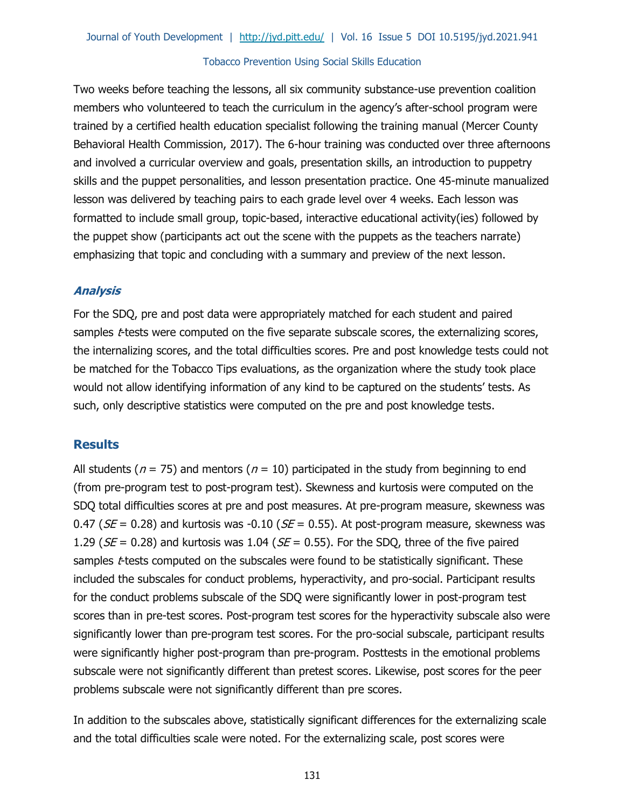Two weeks before teaching the lessons, all six community substance-use prevention coalition members who volunteered to teach the curriculum in the agency's after-school program were trained by a certified health education specialist following the training manual (Mercer County Behavioral Health Commission, 2017). The 6-hour training was conducted over three afternoons and involved a curricular overview and goals, presentation skills, an introduction to puppetry skills and the puppet personalities, and lesson presentation practice. One 45-minute manualized lesson was delivered by teaching pairs to each grade level over 4 weeks. Each lesson was formatted to include small group, topic-based, interactive educational activity(ies) followed by the puppet show (participants act out the scene with the puppets as the teachers narrate) emphasizing that topic and concluding with a summary and preview of the next lesson.

## **Analysis**

For the SDQ, pre and post data were appropriately matched for each student and paired samples *t*-tests were computed on the five separate subscale scores, the externalizing scores, the internalizing scores, and the total difficulties scores. Pre and post knowledge tests could not be matched for the Tobacco Tips evaluations, as the organization where the study took place would not allow identifying information of any kind to be captured on the students' tests. As such, only descriptive statistics were computed on the pre and post knowledge tests.

## **Results**

All students ( $n = 75$ ) and mentors ( $n = 10$ ) participated in the study from beginning to end (from pre-program test to post-program test). Skewness and kurtosis were computed on the SDQ total difficulties scores at pre and post measures. At pre-program measure, skewness was 0.47 ( $SE = 0.28$ ) and kurtosis was -0.10 ( $SE = 0.55$ ). At post-program measure, skewness was 1.29 ( $SE = 0.28$ ) and kurtosis was 1.04 ( $SE = 0.55$ ). For the SDQ, three of the five paired samples *t*-tests computed on the subscales were found to be statistically significant. These included the subscales for conduct problems, hyperactivity, and pro-social. Participant results for the conduct problems subscale of the SDQ were significantly lower in post-program test scores than in pre-test scores. Post-program test scores for the hyperactivity subscale also were significantly lower than pre-program test scores. For the pro-social subscale, participant results were significantly higher post-program than pre-program. Posttests in the emotional problems subscale were not significantly different than pretest scores. Likewise, post scores for the peer problems subscale were not significantly different than pre scores.

In addition to the subscales above, statistically significant differences for the externalizing scale and the total difficulties scale were noted. For the externalizing scale, post scores were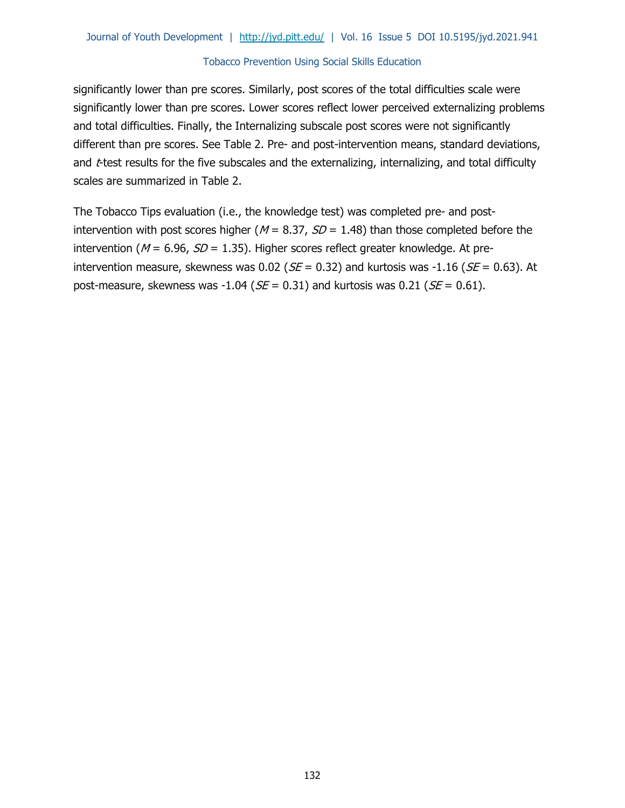significantly lower than pre scores. Similarly, post scores of the total difficulties scale were significantly lower than pre scores. Lower scores reflect lower perceived externalizing problems and total difficulties. Finally, the Internalizing subscale post scores were not significantly different than pre scores. See Table 2. Pre- and post-intervention means, standard deviations, and *t*-test results for the five subscales and the externalizing, internalizing, and total difficulty scales are summarized in Table 2.

The Tobacco Tips evaluation (i.e., the knowledge test) was completed pre- and postintervention with post scores higher ( $M = 8.37$ ,  $SD = 1.48$ ) than those completed before the intervention ( $M = 6.96$ ,  $SD = 1.35$ ). Higher scores reflect greater knowledge. At preintervention measure, skewness was 0.02 ( $SE = 0.32$ ) and kurtosis was -1.16 ( $SE = 0.63$ ). At post-measure, skewness was -1.04 ( $SE = 0.31$ ) and kurtosis was 0.21 ( $SE = 0.61$ ).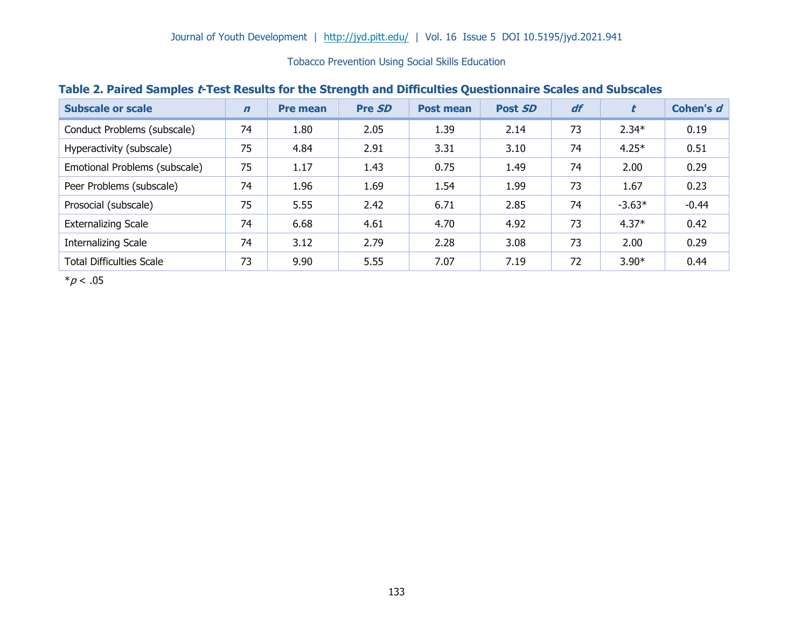| <b>Subscale or scale</b>        | $\mathbf n$ | <b>Pre mean</b> | Pre SD | <b>Post mean</b> | Post SD | df |          | Cohen's d |
|---------------------------------|-------------|-----------------|--------|------------------|---------|----|----------|-----------|
| Conduct Problems (subscale)     | 74          | 1.80            | 2.05   | 1.39             | 2.14    | 73 | $2.34*$  | 0.19      |
| Hyperactivity (subscale)        | 75          | 4.84            | 2.91   | 3.31             | 3.10    | 74 | $4.25*$  | 0.51      |
| Emotional Problems (subscale)   | 75          | 1.17            | 1.43   | 0.75             | 1.49    | 74 | 2.00     | 0.29      |
| Peer Problems (subscale)        | 74          | 1.96            | 1.69   | 1.54             | 1.99    | 73 | 1.67     | 0.23      |
| Prosocial (subscale)            | 75          | 5.55            | 2.42   | 6.71             | 2.85    | 74 | $-3.63*$ | $-0.44$   |
| <b>Externalizing Scale</b>      | 74          | 6.68            | 4.61   | 4.70             | 4.92    | 73 | $4.37*$  | 0.42      |
| <b>Internalizing Scale</b>      | 74          | 3.12            | 2.79   | 2.28             | 3.08    | 73 | 2.00     | 0.29      |
| <b>Total Difficulties Scale</b> | 73          | 9.90            | 5.55   | 7.07             | 7.19    | 72 | $3.90*$  | 0.44      |

## **Table 2. Paired Samples t-Test Results for the Strength and Difficulties Questionnaire Scales and Subscales**

 $*p < .05$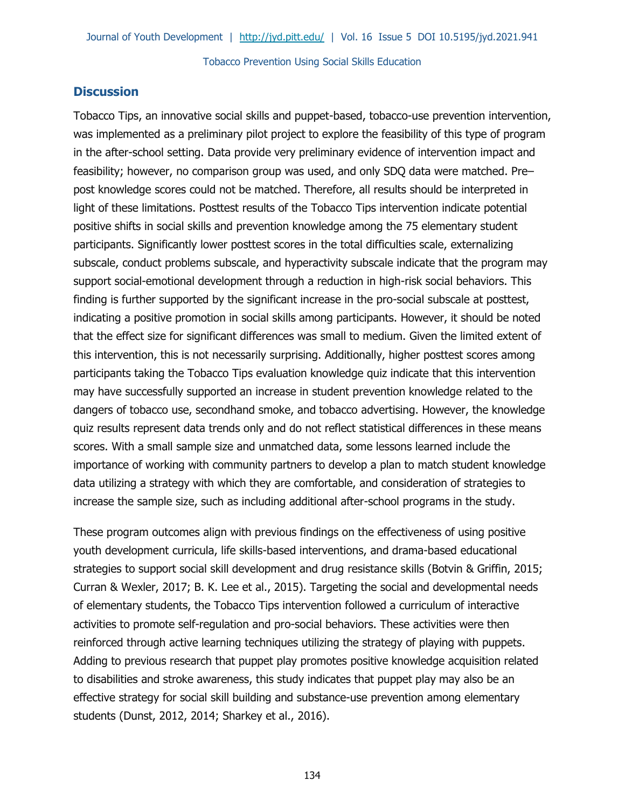## **Discussion**

Tobacco Tips, an innovative social skills and puppet-based, tobacco-use prevention intervention, was implemented as a preliminary pilot project to explore the feasibility of this type of program in the after-school setting. Data provide very preliminary evidence of intervention impact and feasibility; however, no comparison group was used, and only SDQ data were matched. Pre– post knowledge scores could not be matched. Therefore, all results should be interpreted in light of these limitations. Posttest results of the Tobacco Tips intervention indicate potential positive shifts in social skills and prevention knowledge among the 75 elementary student participants. Significantly lower posttest scores in the total difficulties scale, externalizing subscale, conduct problems subscale, and hyperactivity subscale indicate that the program may support social-emotional development through a reduction in high-risk social behaviors. This finding is further supported by the significant increase in the pro-social subscale at posttest, indicating a positive promotion in social skills among participants. However, it should be noted that the effect size for significant differences was small to medium. Given the limited extent of this intervention, this is not necessarily surprising. Additionally, higher posttest scores among participants taking the Tobacco Tips evaluation knowledge quiz indicate that this intervention may have successfully supported an increase in student prevention knowledge related to the dangers of tobacco use, secondhand smoke, and tobacco advertising. However, the knowledge quiz results represent data trends only and do not reflect statistical differences in these means scores. With a small sample size and unmatched data, some lessons learned include the importance of working with community partners to develop a plan to match student knowledge data utilizing a strategy with which they are comfortable, and consideration of strategies to increase the sample size, such as including additional after-school programs in the study.

These program outcomes align with previous findings on the effectiveness of using positive youth development curricula, life skills-based interventions, and drama-based educational strategies to support social skill development and drug resistance skills (Botvin & Griffin, 2015; Curran & Wexler, 2017; B. K. Lee et al., 2015). Targeting the social and developmental needs of elementary students, the Tobacco Tips intervention followed a curriculum of interactive activities to promote self-regulation and pro-social behaviors. These activities were then reinforced through active learning techniques utilizing the strategy of playing with puppets. Adding to previous research that puppet play promotes positive knowledge acquisition related to disabilities and stroke awareness, this study indicates that puppet play may also be an effective strategy for social skill building and substance-use prevention among elementary students (Dunst, 2012, 2014; Sharkey et al., 2016).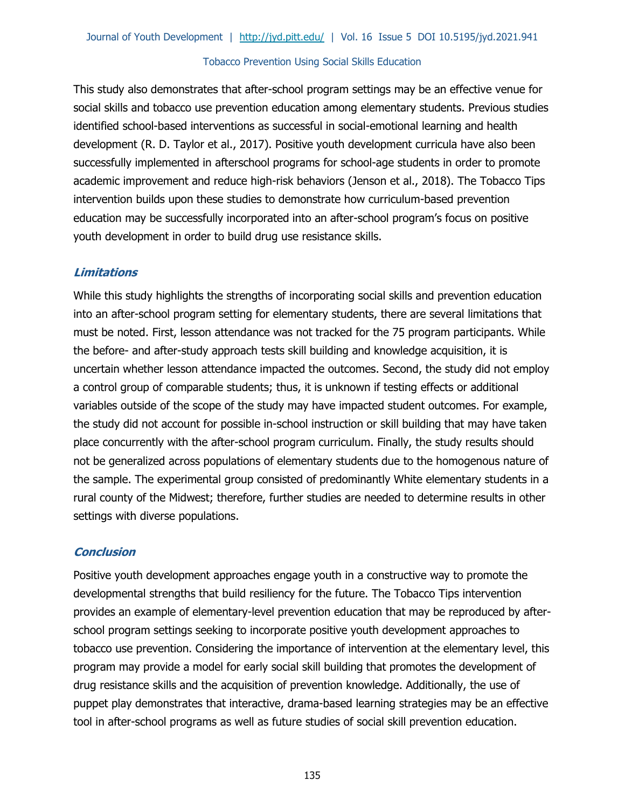This study also demonstrates that after-school program settings may be an effective venue for social skills and tobacco use prevention education among elementary students. Previous studies identified school-based interventions as successful in social-emotional learning and health development (R. D. Taylor et al., 2017). Positive youth development curricula have also been successfully implemented in afterschool programs for school-age students in order to promote academic improvement and reduce high-risk behaviors (Jenson et al., 2018). The Tobacco Tips intervention builds upon these studies to demonstrate how curriculum-based prevention education may be successfully incorporated into an after-school program's focus on positive youth development in order to build drug use resistance skills.

# **Limitations**

While this study highlights the strengths of incorporating social skills and prevention education into an after-school program setting for elementary students, there are several limitations that must be noted. First, lesson attendance was not tracked for the 75 program participants. While the before- and after-study approach tests skill building and knowledge acquisition, it is uncertain whether lesson attendance impacted the outcomes. Second, the study did not employ a control group of comparable students; thus, it is unknown if testing effects or additional variables outside of the scope of the study may have impacted student outcomes. For example, the study did not account for possible in-school instruction or skill building that may have taken place concurrently with the after-school program curriculum. Finally, the study results should not be generalized across populations of elementary students due to the homogenous nature of the sample. The experimental group consisted of predominantly White elementary students in a rural county of the Midwest; therefore, further studies are needed to determine results in other settings with diverse populations.

## **Conclusion**

Positive youth development approaches engage youth in a constructive way to promote the developmental strengths that build resiliency for the future. The Tobacco Tips intervention provides an example of elementary-level prevention education that may be reproduced by afterschool program settings seeking to incorporate positive youth development approaches to tobacco use prevention. Considering the importance of intervention at the elementary level, this program may provide a model for early social skill building that promotes the development of drug resistance skills and the acquisition of prevention knowledge. Additionally, the use of puppet play demonstrates that interactive, drama-based learning strategies may be an effective tool in after-school programs as well as future studies of social skill prevention education.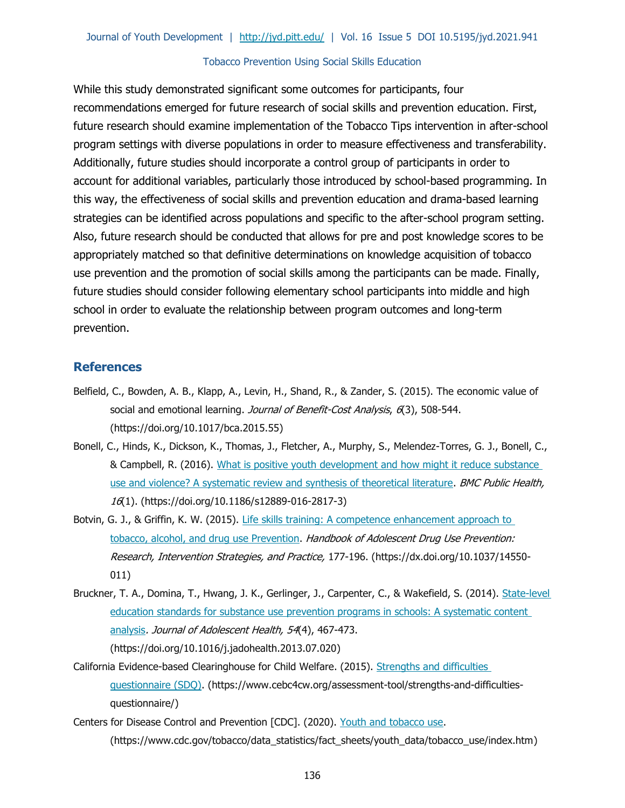While this study demonstrated significant some outcomes for participants, four recommendations emerged for future research of social skills and prevention education. First, future research should examine implementation of the Tobacco Tips intervention in after-school program settings with diverse populations in order to measure effectiveness and transferability. Additionally, future studies should incorporate a control group of participants in order to account for additional variables, particularly those introduced by school-based programming. In this way, the effectiveness of social skills and prevention education and drama-based learning strategies can be identified across populations and specific to the after-school program setting. Also, future research should be conducted that allows for pre and post knowledge scores to be appropriately matched so that definitive determinations on knowledge acquisition of tobacco use prevention and the promotion of social skills among the participants can be made. Finally, future studies should consider following elementary school participants into middle and high school in order to evaluate the relationship between program outcomes and long-term prevention.

#### **References**

- Belfield, C., Bowden, A. B., Klapp, A., Levin, H., Shand, R., & Zander, S. (2015). [The economic value of](https://doi.org/10.1017/bca.2015.55)  [social and emotional learning.](https://doi.org/10.1017/bca.2015.55) Journal of Benefit-Cost Analysis, 6(3), 508-544. (https://doi.org/10.1017/bca.2015.55)
- Bonell, C., Hinds, K., Dickson, K., Thomas, J., Fletcher, A., Murphy, S., Melendez-Torres, G. J., Bonell, C., & Campbell, R. (2016). [What is positive youth development and how might it reduce substance](https://doi.org/10.1186/s12889-016-2817-3)  [use and violence? A systematic review and synthesis of theoretical literature.](https://doi.org/10.1186/s12889-016-2817-3) BMC Public Health, 16(1). (https://doi.org/10.1186/s12889-016-2817-3)
- Botvin, G. J., & Griffin, K. W. (2015). Life skills training: A competence enhancement approach to [tobacco, alcohol, and drug use Prevention.](https://dx.doi.org/10.1037/14550-011) Handbook of Adolescent Drug Use Prevention: Research, Intervention Strategies, and Practice, 177-196. (https://dx.doi.org/10.1037/14550- 011)
- Bruckner, T. A., Domina, T., Hwang, J. K., Gerlinger, J., Carpenter, C., & Wakefield, S. (2014). [State-level](https://doi.org/10.1016/j.jadohealth.2013.07.020)  [education standards for substance use prevention programs in schools: A systematic content](https://doi.org/10.1016/j.jadohealth.2013.07.020)  [analysis](https://doi.org/10.1016/j.jadohealth.2013.07.020). Journal of Adolescent Health, 54(4), 467-473. (https://doi.org/10.1016/j.jadohealth.2013.07.020)
- California Evidence-based Clearinghouse for Child Welfare. (2015). [Strengths and difficulties](https://www.cebc4cw.org/assessment-tool/strengths-and-difficulties-questionnaire/)  [questionnaire \(SDQ\).](https://www.cebc4cw.org/assessment-tool/strengths-and-difficulties-questionnaire/) (https://www.cebc4cw.org/assessment-tool/strengths-and-difficultiesquestionnaire/)
- Centers for Disease Control and Prevention [CDC]. (2020). [Youth and tobacco use.](https://www.cdc.gov/tobacco/data_statistics/fact_sheets/youth_data/tobacco_use/index.htm) (https://www.cdc.gov/tobacco/data\_statistics/fact\_sheets/youth\_data/tobacco\_use/index.htm)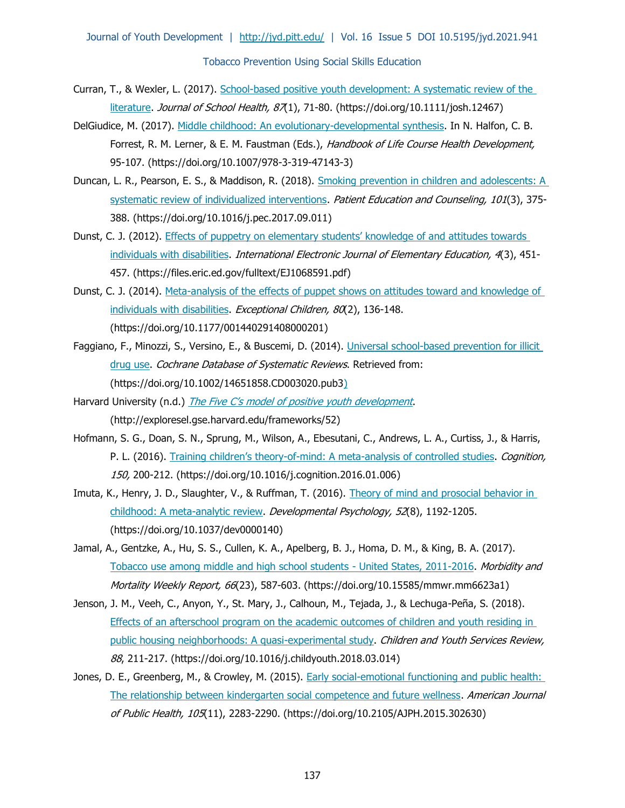Journal of Youth Development | <http://jyd.pitt.edu/>| Vol. 16 Issue 5 DOI 10.5195/jyd.2021.941 Tobacco Prevention Using Social Skills Education

- Curran, T., & Wexler, L. (2017). [School-based positive youth development: A systematic review of the](https://doi.org/10.1111/josh.12467)  [literature.](https://doi.org/10.1111/josh.12467) *Journal of School Health, 87*(1), 71-80. (https://doi.org/10.1111/josh.12467)
- DelGiudice, M. (2017). [Middle childhood: An evolutionary-developmental synthesis.](file://///files.umn.edu/Ext/Share/YD/cbyrne/Kate%20Walker/JYD/Issues/d-2021-winter/08-finalized%20not%20paginated/(https:/doi.org/10.1007/978-3-319-47143-3) In N. Halfon, C. B. Forrest, R. M. Lerner, & E. M. Faustman (Eds.), Handbook of Life Course Health Development, 95-107. (https://doi.org/10.1007/978-3-319-47143-3)
- Duncan, L. R., Pearson, E. S., & Maddison, R. (2018). [Smoking prevention in children and adolescents: A](https://doi.org/10.1016/j.pec.2017.09.011)  [systematic review of individualized interventions.](https://doi.org/10.1016/j.pec.2017.09.011) Patient Education and Counseling, 101(3), 375-388. (https://doi.org/10.1016/j.pec.2017.09.011)
- Dunst, C. J. (2012). [Effects of puppetry on elementary students' knowledge of and attitudes towards](https://files.eric.ed.gov/fulltext/EJ1068591.pdf)  [individuals with disabilities.](https://files.eric.ed.gov/fulltext/EJ1068591.pdf) International Electronic Journal of Elementary Education, 4(3), 451-457. (https://files.eric.ed.gov/fulltext/EJ1068591.pdf)
- Dunst, C. J. (2014). Meta-analysis of the effects of puppet shows on attitudes toward and knowledge of [individuals with disabilities.](https://doi.org/10.1177/001440291408000201) Exceptional Children, 80(2), 136-148. (https://doi.org/10.1177/001440291408000201)
- Faggiano, F., Minozzi, S., Versino, E., & Buscemi, D. (2014). [Universal school-based prevention for illicit](https://doi.org/10.1002/14651858.CD003020.pub3)  [drug use.](https://doi.org/10.1002/14651858.CD003020.pub3) Cochrane Database of Systematic Reviews. Retrieved from: (https://doi.org/10.1002/14651858.CD003020.pub3)
- Harvard University (n.d.) [The Five C's model of positive youth development](http://exploresel.gse.harvard.edu/frameworks/52). (http://exploresel.gse.harvard.edu/frameworks/52)
- Hofmann, S. G., Doan, S. N., Sprung, M., Wilson, A., Ebesutani, C., Andrews, L. A., Curtiss, J., & Harris, P. L. (2016). Training children's theory[-of-mind: A meta-analysis of controlled studies.](file://///files.umn.edu/Ext/Share/YD/cbyrne/Kate%20Walker/JYD/Issues/d-2021-winter/.%20https:/doi.org/10.1016/j.cognition.2016.01.006) Cognition, 150, 200-212. (https://doi.org/10.1016/j.cognition.2016.01.006)
- Imuta, K., Henry, J. D., Slaughter, V., & Ruffman, T. (2016). Theory of mind and prosocial behavior in [childhood: A meta-analytic review.](https://doi.org/10.1037/dev0000140) *Developmental Psychology, 52*(8), 1192-1205. (https://doi.org/10.1037/dev0000140)
- Jamal, A., Gentzke, A., Hu, S. S., Cullen, K. A., Apelberg, B. J., Homa, D. M., & King, B. A. (2017). [Tobacco use among middle and high school students -](https://doi.org/10.15585/mmwr.mm6623a1) United States, 2011-2016. Morbidity and Mortality Weekly Report, 66(23), 587-603. (https://doi.org/10.15585/mmwr.mm6623a1)
- Jenson, J. M., Veeh, C., Anyon, Y., St. Mary, J., Calhoun, M., Tejada, J., & Lechuga-Peña, S. (2018). [Effects of an afterschool program on the academic outcomes of children and youth residing in](https://doi.org/10.1016/j.childyouth.2018.03.014)  [public housing neighborhoods: A quasi-experimental study.](https://doi.org/10.1016/j.childyouth.2018.03.014) Children and Youth Services Review, 88, 211-217. (https://doi.org/10.1016/j.childyouth.2018.03.014)
- Jones, D. E., Greenberg, M., & Crowley, M. (2015). Early social-emotional functioning and public health: [The relationship between kindergarten social competence and future wellness.](https://doi.org/10.2105/AJPH.2015.302630) American Journal of Public Health, 105(11), 2283-2290. (https://doi.org/10.2105/AJPH.2015.302630)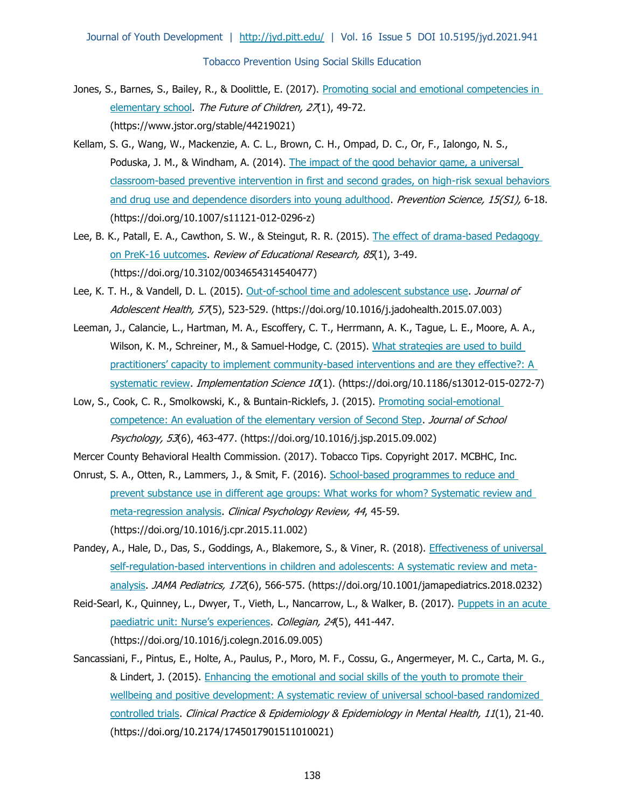- Jones, S., Barnes, S., Bailey, R., & Doolittle, E. (2017). Promoting social and emotional competencies in [elementary school.](https://www.jstor.org/stable/44219021) The Future of Children, 27(1), 49-72. (https://www.jstor.org/stable/44219021)
- Kellam, S. G., Wang, W., Mackenzie, A. C. L., Brown, C. H., Ompad, D. C., Or, F., Ialongo, N. S., Poduska, J. M., & Windham, A. (2014). The impact of the good behavior game, a universal [classroom-based preventive intervention in first and second grades, on high-risk sexual behaviors](https://doi.org/10.1007/s11121-012-0296-z)  [and drug use and dependence disorders into young adulthood.](https://doi.org/10.1007/s11121-012-0296-z) Prevention Science, 15(S1), 6-18. (https://doi.org/10.1007/s11121-012-0296-z)
- Lee, B. K., Patall, E. A., Cawthon, S. W., & Steingut, R. R. (2015). [The effect of drama-based Pedagogy](https://doi.org/10.3102/0034654314540477)  [on PreK-16 uutcomes.](https://doi.org/10.3102/0034654314540477) Review of Educational Research, 85(1), 3-49. (https://doi.org/10.3102/0034654314540477)
- Lee, K. T. H., & Vandell, D. L. (2015). [Out-of-school time and adolescent substance use.](https://doi.org/10.1016/j.jadohealth.2015.07.003) Journal of Adolescent Health, 57(5), 523-529. (https://doi.org/10.1016/j.jadohealth.2015.07.003)
- Leeman, J., Calancie, L., Hartman, M. A., Escoffery, C. T., Herrmann, A. K., Tague, L. E., Moore, A. A., Wilson, K. M., Schreiner, M., & Samuel-Hodge, C. (2015). What strategies are used to build practitioners' capacity to implement community-based interventions and are they effective?: A [systematic review.](https://doi.org/10.1186/s13012-015-0272-7) Implementation Science 10(1). (https://doi.org/10.1186/s13012-015-0272-7)
- Low, S., Cook, C. R., Smolkowski, K., & Buntain-Ricklefs, J. (2015). Promoting social-emotional [competence: An evaluation of the elementary version of Second Step.](https://doi.org/10.1016/j.jsp.2015.09.002) Journal of School Psychology, 53(6), 463-477. (https://doi.org/10.1016/j.jsp.2015.09.002)
- Mercer County Behavioral Health Commission. (2017). Tobacco Tips. Copyright 2017. MCBHC, Inc.
- Onrust, S. A., Otten, R., Lammers, J., & Smit, F. (2016). School-based programmes to reduce and prevent substance use in different age groups: What works for whom? Systematic review and [meta-regression analysis.](https://doi.org/10.1016/j.cpr.2015.11.002) Clinical Psychology Review, 44, 45-59. (https://doi.org/10.1016/j.cpr.2015.11.002)
- Pandey, A., Hale, D., Das, S., Goddings, A., Blakemore, S., & Viner, R. (2018). Effectiveness of universal [self-regulation-based interventions in children and adolescents: A systematic review and meta](https://doi.org/10.1001/jamapediatrics.2018.0232)[analysis.](https://doi.org/10.1001/jamapediatrics.2018.0232) JAMA Pediatrics, 172(6), 566-575. (https://doi.org/10.1001/jamapediatrics.2018.0232)
- Reid-Searl, K., Quinney, L., Dwyer, T., Vieth, L., Nancarrow, L., & Walker, B. (2017). Puppets in an acute [paediatric unit: Nurse's experiences](https://doi.org/10.1016/j.colegn.2016.09.005). Collegian, 24(5), 441-447. (https://doi.org/10.1016/j.colegn.2016.09.005)
- Sancassiani, F., Pintus, E., Holte, A., Paulus, P., Moro, M. F., Cossu, G., Angermeyer, M. C., Carta, M. G., & Lindert, J. (2015). [Enhancing the emotional and social skills of the youth to promote their](https://doi.org/10.2174/1745017901511010021)  wellbeing and positive development: A systematic review of universal school-based randomized [controlled trials.](https://doi.org/10.2174/1745017901511010021) Clinical Practice & Epidemiology & Epidemiology in Mental Health, 11(1), 21-40. (https:/[/doi.org/10.2174/1745017901511010021\)](https://doi.org/10.2174/1745017901511010021)